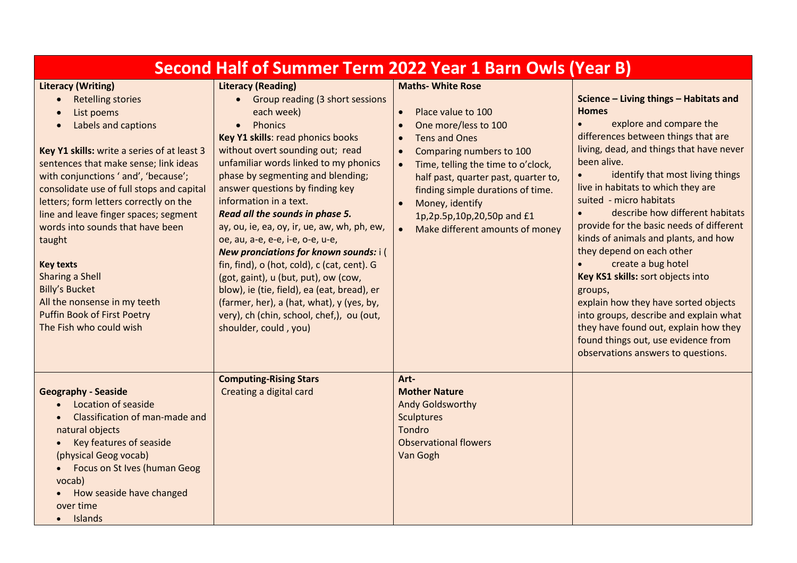| Second Half of Summer Term 2022 Year 1 Barn Owls (Year B)                                                                                                                                                                                                                                                                                                                                                                                                                                                                                                                        |                                                                                                                                                                                                                                                                                                                                                                                                                                                                                                                                                                                                                                                                                                                                      |                                                                                                                                                                                                                                                                                                                                                                                                                 |                                                                                                                                                                                                                                                                                                                                                                                                                                                                                                                                                                                                                                                                                                                            |  |
|----------------------------------------------------------------------------------------------------------------------------------------------------------------------------------------------------------------------------------------------------------------------------------------------------------------------------------------------------------------------------------------------------------------------------------------------------------------------------------------------------------------------------------------------------------------------------------|--------------------------------------------------------------------------------------------------------------------------------------------------------------------------------------------------------------------------------------------------------------------------------------------------------------------------------------------------------------------------------------------------------------------------------------------------------------------------------------------------------------------------------------------------------------------------------------------------------------------------------------------------------------------------------------------------------------------------------------|-----------------------------------------------------------------------------------------------------------------------------------------------------------------------------------------------------------------------------------------------------------------------------------------------------------------------------------------------------------------------------------------------------------------|----------------------------------------------------------------------------------------------------------------------------------------------------------------------------------------------------------------------------------------------------------------------------------------------------------------------------------------------------------------------------------------------------------------------------------------------------------------------------------------------------------------------------------------------------------------------------------------------------------------------------------------------------------------------------------------------------------------------------|--|
| <b>Literacy (Writing)</b><br><b>Retelling stories</b><br>List poems<br>Labels and captions<br>Key Y1 skills: write a series of at least 3<br>sentences that make sense; link ideas<br>with conjunctions ' and', 'because';<br>consolidate use of full stops and capital<br>letters; form letters correctly on the<br>line and leave finger spaces; segment<br>words into sounds that have been<br>taught<br><b>Key texts</b><br><b>Sharing a Shell</b><br><b>Billy's Bucket</b><br>All the nonsense in my teeth<br><b>Puffin Book of First Poetry</b><br>The Fish who could wish | <b>Literacy (Reading)</b><br>• Group reading (3 short sessions<br>each week)<br>Phonics<br>Key Y1 skills: read phonics books<br>without overt sounding out; read<br>unfamiliar words linked to my phonics<br>phase by segmenting and blending;<br>answer questions by finding key<br>information in a text.<br>Read all the sounds in phase 5.<br>ay, ou, ie, ea, oy, ir, ue, aw, wh, ph, ew,<br>oe, au, a-e, e-e, i-e, o-e, u-e,<br>New pronciations for known sounds: i (<br>fin, find), o (hot, cold), c (cat, cent). G<br>(got, gaint), u (but, put), ow (cow,<br>blow), ie (tie, field), ea (eat, bread), er<br>(farmer, her), a (hat, what), y (yes, by,<br>very), ch (chin, school, chef,), ou (out,<br>shoulder, could, you) | <b>Maths- White Rose</b><br>Place value to 100<br>$\bullet$<br>One more/less to 100<br><b>Tens and Ones</b><br>$\bullet$<br>Comparing numbers to 100<br>$\bullet$<br>Time, telling the time to o'clock,<br>$\bullet$<br>half past, quarter past, quarter to,<br>finding simple durations of time.<br>Money, identify<br>$\bullet$<br>1p,2p.5p,10p,20,50p and £1<br>Make different amounts of money<br>$\bullet$ | Science - Living things - Habitats and<br><b>Homes</b><br>explore and compare the<br>differences between things that are<br>living, dead, and things that have never<br>been alive.<br>identify that most living things<br>live in habitats to which they are<br>suited - micro habitats<br>describe how different habitats<br>provide for the basic needs of different<br>kinds of animals and plants, and how<br>they depend on each other<br>create a bug hotel<br>Key KS1 skills: sort objects into<br>groups,<br>explain how they have sorted objects<br>into groups, describe and explain what<br>they have found out, explain how they<br>found things out, use evidence from<br>observations answers to questions. |  |
| <b>Geography - Seaside</b><br>Location of seaside<br>Classification of man-made and<br>natural objects<br>Key features of seaside<br>(physical Geog vocab)<br>Focus on St Ives (human Geog<br>vocab)<br>How seaside have changed<br>over time<br>Islands                                                                                                                                                                                                                                                                                                                         | <b>Computing-Rising Stars</b><br>Creating a digital card                                                                                                                                                                                                                                                                                                                                                                                                                                                                                                                                                                                                                                                                             | Art-<br><b>Mother Nature</b><br><b>Andy Goldsworthy</b><br><b>Sculptures</b><br>Tondro<br><b>Observational flowers</b><br>Van Gogh                                                                                                                                                                                                                                                                              |                                                                                                                                                                                                                                                                                                                                                                                                                                                                                                                                                                                                                                                                                                                            |  |